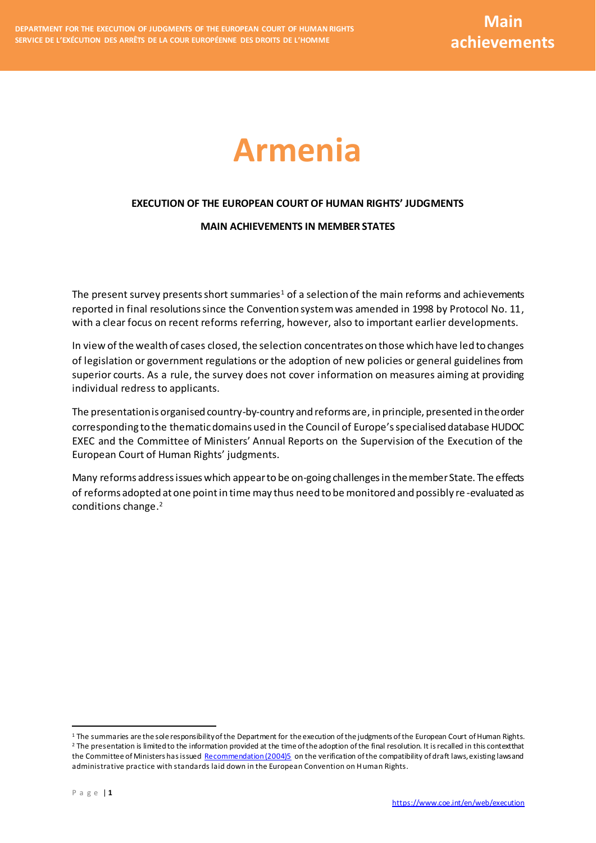# **Armenia**

### **EXECUTION OF THE EUROPEAN COURT OF HUMAN RIGHTS' JUDGMENTS**

#### **MAIN ACHIEVEMENTS IN MEMBER STATES**

The present survey presents short summaries<sup>1</sup> of a selection of the main reforms and achievements reported in final resolutions since the Convention system was amended in 1998 by Protocol No. 11, with a clear focus on recent reforms referring, however, also to important earlier developments.

In view of the wealth of cases closed, the selection concentrates on those which have led to changes of legislation or government regulations or the adoption of new policies or general guidelines from superior courts. As a rule, the survey does not cover information on measures aiming at providing individual redress to applicants.

The presentation is organised country-by-country and reforms are, in principle, presented in the order corresponding to the thematic domains used in the Council of Europe's specialised database HUDOC EXEC and the Committee of Ministers' Annual Reports on the Supervision of the Execution of the European Court of Human Rights' judgments.

Many reforms address issues which appear to be on-going challenges in themember State. The effects of reforms adopted at one point in time may thus need to be monitored and possibly re -evaluated as conditions change. 2

 $\overline{a}$ 

 $1$  The summaries are the sole responsibility of the Department for the execution of the judgments of the European Court of Human Rights. <sup>2</sup> The presentation is limited to the information provided at the time of the adoption of the final resolution. It is recalled in this context that the Committee of Ministers has issue[d Recommendation \(2004\)5](https://search.coe.int/cm/Pages/result_details.aspx?ObjectID=09000016805dd194) on the verification of the compatibility of draft laws, existing laws and administrative practice with standards laid down in the European Convention on Human Rights.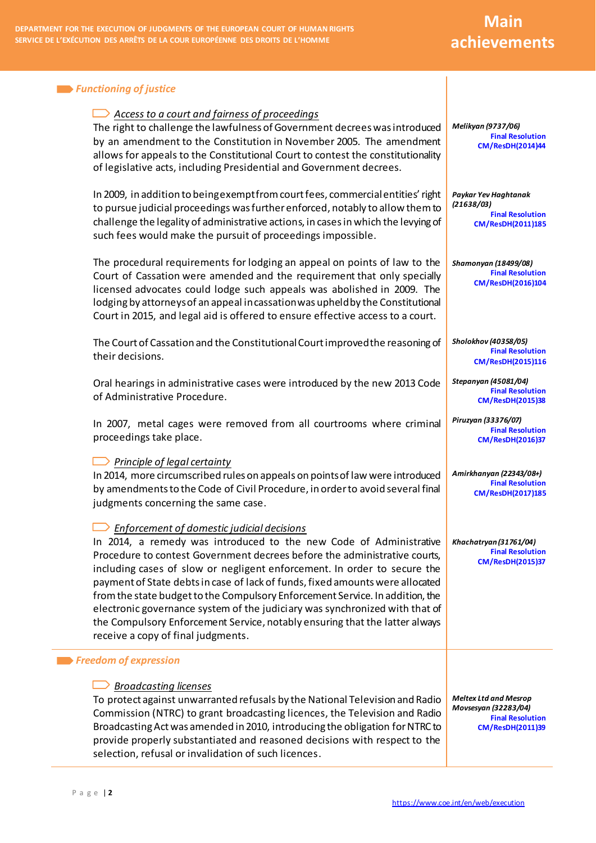## **Main achievements**

| <b>Functioning of justice</b>                                                                                                                                                                                                                                                                                                                                                                                                                                                                                                                                                                                                                          |                                                                                                     |
|--------------------------------------------------------------------------------------------------------------------------------------------------------------------------------------------------------------------------------------------------------------------------------------------------------------------------------------------------------------------------------------------------------------------------------------------------------------------------------------------------------------------------------------------------------------------------------------------------------------------------------------------------------|-----------------------------------------------------------------------------------------------------|
| Access to a court and fairness of proceedings<br>The right to challenge the lawfulness of Government decrees was introduced<br>by an amendment to the Constitution in November 2005. The amendment<br>allows for appeals to the Constitutional Court to contest the constitutionality<br>of legislative acts, including Presidential and Government decrees.                                                                                                                                                                                                                                                                                           | Melikyan (9737/06)<br><b>Final Resolution</b><br><b>CM/ResDH(2014)44</b>                            |
| In 2009, in addition to being exempt from court fees, commercial entities' right<br>to pursue judicial proceedings was further enforced, notably to allow them to<br>challenge the legality of administrative actions, in cases in which the levying of<br>such fees would make the pursuit of proceedings impossible.                                                                                                                                                                                                                                                                                                                                 | Paykar Yev Haghtanak<br>(21638/03)<br><b>Final Resolution</b><br>CM/ResDH(2011)185                  |
| The procedural requirements for lodging an appeal on points of law to the<br>Court of Cassation were amended and the requirement that only specially<br>licensed advocates could lodge such appeals was abolished in 2009. The<br>lodging by attorneys of an appeal in cassation was upheld by the Constitutional<br>Court in 2015, and legal aid is offered to ensure effective access to a court.                                                                                                                                                                                                                                                    | <b>Shamonyan (18499/08)</b><br><b>Final Resolution</b><br>CM/ResDH(2016)104                         |
| The Court of Cassation and the Constitutional Court improved the reasoning of<br>their decisions.                                                                                                                                                                                                                                                                                                                                                                                                                                                                                                                                                      | Sholokhov (40358/05)<br><b>Final Resolution</b><br>CM/ResDH(2015)116                                |
| Oral hearings in administrative cases were introduced by the new 2013 Code<br>of Administrative Procedure.                                                                                                                                                                                                                                                                                                                                                                                                                                                                                                                                             | Stepanyan (45081/04)<br><b>Final Resolution</b><br><b>CM/ResDH(2015)38</b>                          |
| In 2007, metal cages were removed from all courtrooms where criminal<br>proceedings take place.                                                                                                                                                                                                                                                                                                                                                                                                                                                                                                                                                        | Piruzyan (33376/07)<br><b>Final Resolution</b><br><b>CM/ResDH(2016)37</b>                           |
| <b>Principle of legal certainty</b><br>In 2014, more circumscribed rules on appeals on points of law were introduced<br>by amendments to the Code of Civil Procedure, in order to avoid several final<br>judgments concerning the same case.                                                                                                                                                                                                                                                                                                                                                                                                           | Amirkhanyan (22343/08+)<br><b>Final Resolution</b><br><b>CM/ResDH(2017)185</b>                      |
| <b>Enforcement of domestic judicial decisions</b><br>In 2014, a remedy was introduced to the new Code of Administrative<br>Procedure to contest Government decrees before the administrative courts,<br>including cases of slow or negligent enforcement. In order to secure the<br>payment of State debts in case of lack of funds, fixed amounts were allocated<br>from the state budget to the Compulsory Enforcement Service. In addition, the<br>electronic governance system of the judiciary was synchronized with that of<br>the Compulsory Enforcement Service, notably ensuring that the latter always<br>receive a copy of final judgments. | Khachatryan (31761/04)<br><b>Final Resolution</b><br><b>CM/ResDH(2015)37</b>                        |
| <b>Expression</b> Freedom of expression                                                                                                                                                                                                                                                                                                                                                                                                                                                                                                                                                                                                                |                                                                                                     |
| <b>Broadcasting licenses</b><br>To protect against unwarranted refusals by the National Television and Radio<br>Commission (NTRC) to grant broadcasting licences, the Television and Radio<br>Broadcasting Act was amended in 2010, introducing the obligation for NTRC to<br>provide properly substantiated and reasoned decisions with respect to the<br>selection, refusal or invalidation of such licences.                                                                                                                                                                                                                                        | <b>Meltex Ltd and Mesrop</b><br>Movsesyan (32283/04)<br><b>Final Resolution</b><br>CM/ResDH(2011)39 |